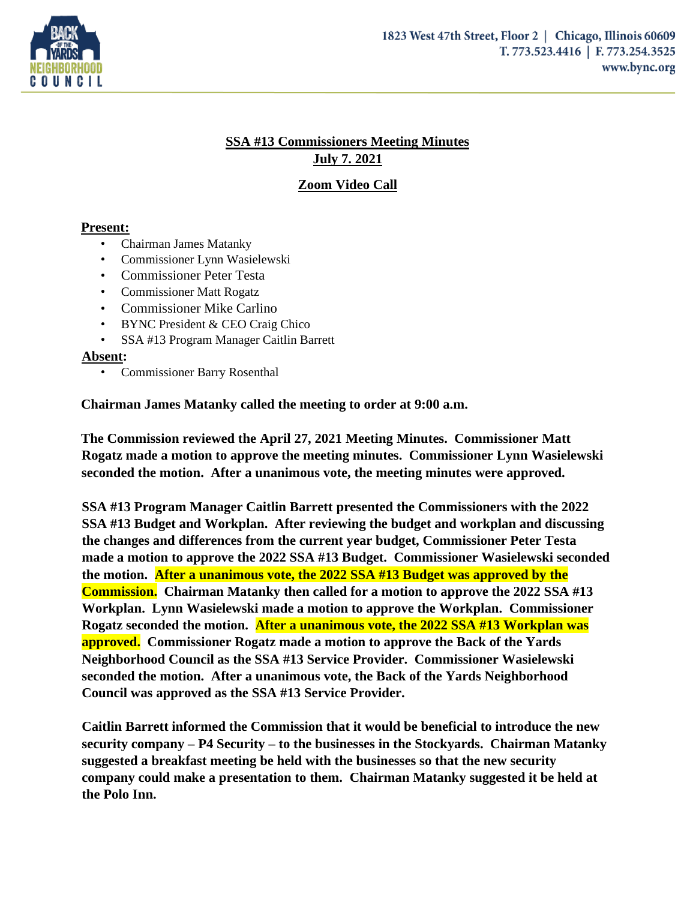

## **SSA #13 Commissioners Meeting Minutes July 7. 2021**

## **Zoom Video Call**

## **Present:**

- Chairman James Matanky
- Commissioner Lynn Wasielewski
- Commissioner Peter Testa
- Commissioner Matt Rogatz
- Commissioner Mike Carlino
- BYNC President & CEO Craig Chico
- SSA #13 Program Manager Caitlin Barrett

## **Absent:**

• Commissioner Barry Rosenthal

**Chairman James Matanky called the meeting to order at 9:00 a.m.** 

**The Commission reviewed the April 27, 2021 Meeting Minutes. Commissioner Matt Rogatz made a motion to approve the meeting minutes. Commissioner Lynn Wasielewski seconded the motion. After a unanimous vote, the meeting minutes were approved.** 

**SSA #13 Program Manager Caitlin Barrett presented the Commissioners with the 2022 SSA #13 Budget and Workplan. After reviewing the budget and workplan and discussing the changes and differences from the current year budget, Commissioner Peter Testa made a motion to approve the 2022 SSA #13 Budget. Commissioner Wasielewski seconded the motion. After a unanimous vote, the 2022 SSA #13 Budget was approved by the Commission. Chairman Matanky then called for a motion to approve the 2022 SSA #13 Workplan. Lynn Wasielewski made a motion to approve the Workplan. Commissioner Rogatz seconded the motion. After a unanimous vote, the 2022 SSA #13 Workplan was approved. Commissioner Rogatz made a motion to approve the Back of the Yards Neighborhood Council as the SSA #13 Service Provider. Commissioner Wasielewski seconded the motion. After a unanimous vote, the Back of the Yards Neighborhood Council was approved as the SSA #13 Service Provider.** 

**Caitlin Barrett informed the Commission that it would be beneficial to introduce the new security company – P4 Security – to the businesses in the Stockyards. Chairman Matanky suggested a breakfast meeting be held with the businesses so that the new security company could make a presentation to them. Chairman Matanky suggested it be held at the Polo Inn.**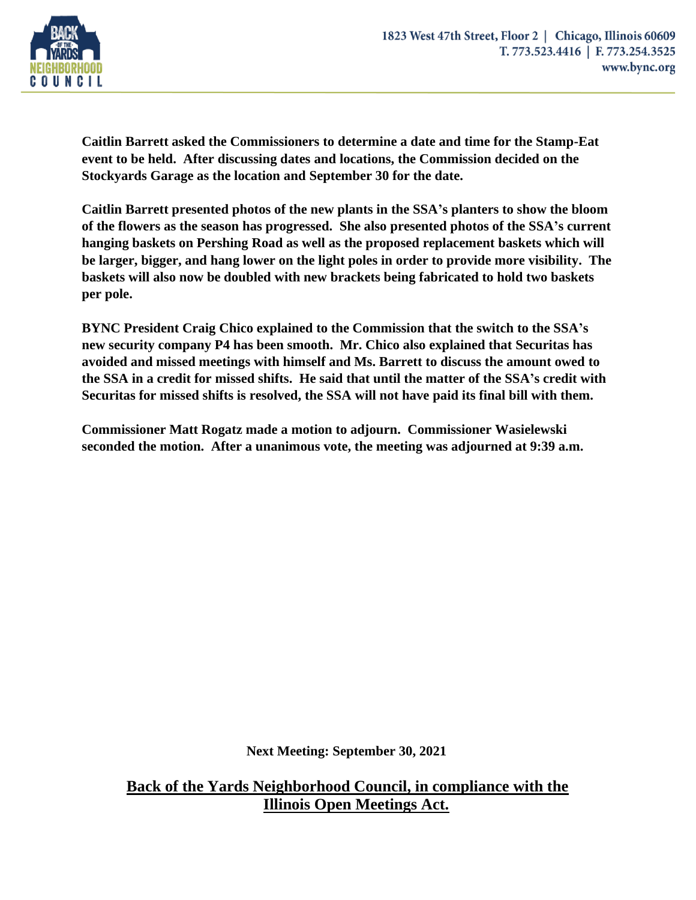

**Caitlin Barrett asked the Commissioners to determine a date and time for the Stamp-Eat event to be held. After discussing dates and locations, the Commission decided on the Stockyards Garage as the location and September 30 for the date.** 

**Caitlin Barrett presented photos of the new plants in the SSA's planters to show the bloom of the flowers as the season has progressed. She also presented photos of the SSA's current hanging baskets on Pershing Road as well as the proposed replacement baskets which will be larger, bigger, and hang lower on the light poles in order to provide more visibility. The baskets will also now be doubled with new brackets being fabricated to hold two baskets per pole.** 

**BYNC President Craig Chico explained to the Commission that the switch to the SSA's new security company P4 has been smooth. Mr. Chico also explained that Securitas has avoided and missed meetings with himself and Ms. Barrett to discuss the amount owed to the SSA in a credit for missed shifts. He said that until the matter of the SSA's credit with Securitas for missed shifts is resolved, the SSA will not have paid its final bill with them.** 

**Commissioner Matt Rogatz made a motion to adjourn. Commissioner Wasielewski seconded the motion. After a unanimous vote, the meeting was adjourned at 9:39 a.m.**

**Next Meeting: September 30, 2021**

**Back of the Yards Neighborhood Council, in compliance with the Illinois Open Meetings Act.**